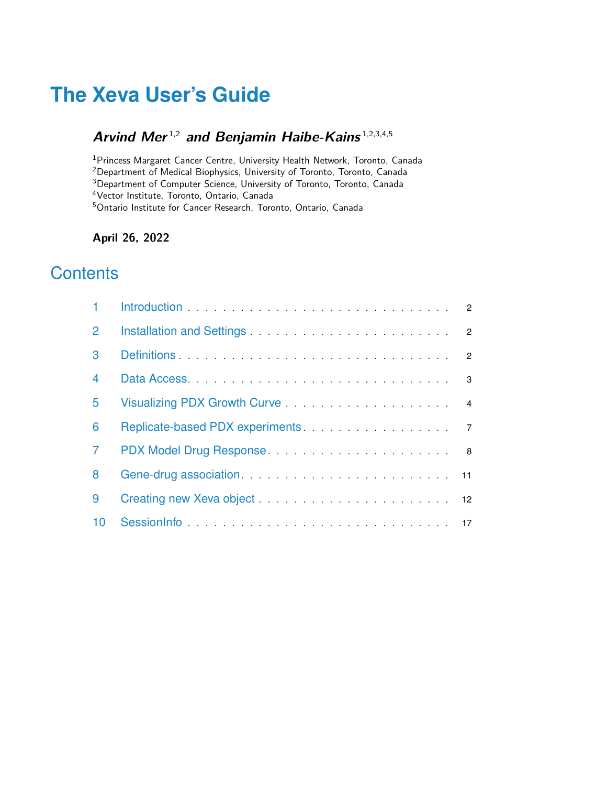# **The Xeva User's Guide**

## **Arvind Mer** 1,2 **and Benjamin Haibe-Kains** 1,2,3,4,5

Princess Margaret Cancer Centre, University Health Network, Toronto, Canada Department of Medical Biophysics, University of Toronto, Toronto, Canada Department of Computer Science, University of Toronto, Toronto, Canada Vector Institute, Toronto, Ontario, Canada Ontario Institute for Cancer Research, Toronto, Ontario, Canada

**April 26, 2022**

# **Contents**

| 2              |  |
|----------------|--|
| 3              |  |
| $\overline{4}$ |  |
| 5              |  |
| 6              |  |
| $\overline{7}$ |  |
| 8              |  |
| 9              |  |
| 10             |  |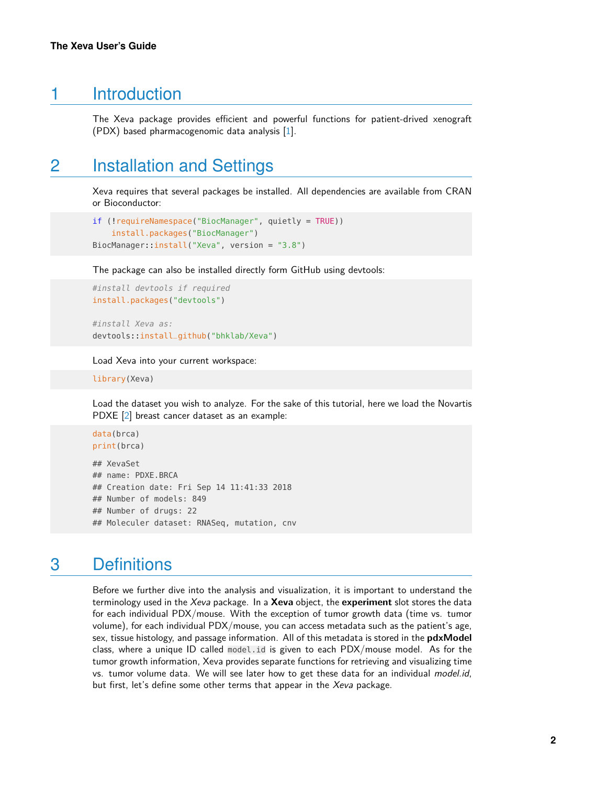### 1 Introduction

<span id="page-1-1"></span><span id="page-1-0"></span>The Xeva package provides efficient and powerful functions for patient-drived xenograft (PDX) based pharmacogenomic data analysis [\[1\]](#page-15-0).

# 2 Installation and Settings

Xeva requires that several packages be installed. All dependencies are available from CRAN or Bioconductor:

```
if (!requireNamespace("BiocManager", quietly = TRUE))
    install.packages("BiocManager")
BiocManager::install("Xeva", version = "3.8")
```
The package can also be installed directly form GitHub using devtools:

```
#install devtools if required
install.packages("devtools")
#install Xeva as:
```
devtools::install\_github("bhklab/Xeva")

Load Xeva into your current workspace:

library(Xeva)

Load the dataset you wish to analyze. For the sake of this tutorial, here we load the Novartis PDXE [\[2\]](#page-15-1) breast cancer dataset as an example:

```
data(brca)
print(brca)
## XevaSet
## name: PDXE.BRCA
## Creation date: Fri Sep 14 11:41:33 2018
## Number of models: 849
## Number of drugs: 22
## Moleculer dataset: RNASeq, mutation, cnv
```
### <span id="page-1-2"></span>3 Definitions

Before we further dive into the analysis and visualization, it is important to understand the terminology used in the Xeva package. In a **Xeva** object, the **experiment** slot stores the data for each individual PDX/mouse. With the exception of tumor growth data (time vs. tumor volume), for each individual PDX/mouse, you can access metadata such as the patient's age, sex, tissue histology, and passage information. All of this metadata is stored in the **pdxModel** class, where a unique ID called model.id is given to each PDX/mouse model. As for the tumor growth information, Xeva provides separate functions for retrieving and visualizing time vs. tumor volume data. We will see later how to get these data for an individual model.id, but first, let's define some other terms that appear in the Xeva package.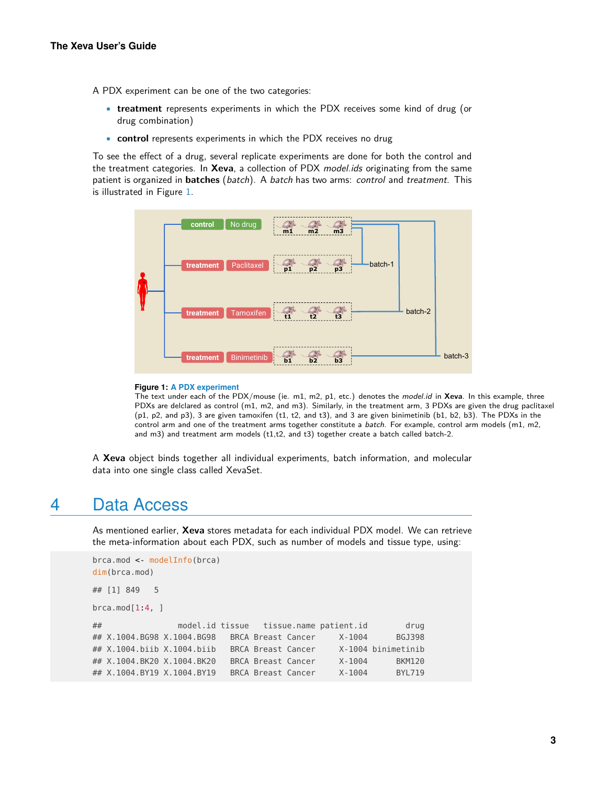A PDX experiment can be one of the two categories:

- **treatment** represents experiments in which the PDX receives some kind of drug (or drug combination)
- **control** represents experiments in which the PDX receives no drug

To see the effect of a drug, several replicate experiments are done for both the control and the treatment categories. In **Xeva**, a collection of PDX model.ids originating from the same patient is organized in **batches** (batch). A batch has two arms: control and treatment. This is illustrated in Figure [1.](#page-2-1)

<span id="page-2-1"></span>

#### **Figure 1: A PDX experiment**

The text under each of the PDX/mouse (ie. m1, m2, p1, etc.) denotes the model.id in **Xeva**. In this example, three PDXs are delclared as control (m1, m2, and m3). Similarly, in the treatment arm, 3 PDXs are given the drug paclitaxel (p1, p2, and p3), 3 are given tamoxifen (t1, t2, and t3), and 3 are given binimetinib (b1, b2, b3). The PDXs in the control arm and one of the treatment arms together constitute a batch. For example, control arm models (m1, m2, and m3) and treatment arm models (t1,t2, and t3) together create a batch called batch-2.

<span id="page-2-0"></span>A **Xeva** object binds together all individual experiments, batch information, and molecular data into one single class called XevaSet.

#### 4 Data Access

As mentioned earlier, **Xeva** stores metadata for each individual PDX model. We can retrieve the meta-information about each PDX, such as number of models and tissue type, using:

```
brca.mod <- modelInfo(brca)
dim(brca.mod)
## [1] 849 5
brca.mod[1:4, 1]## model.id tissue tissue.name patient.id drug
## X.1004.BG98 X.1004.BG98 BRCA Breast Cancer X-1004 BGJ398
## X.1004.biib X.1004.biib BRCA Breast Cancer X-1004 binimetinib
## X.1004.BK20 X.1004.BK20 BRCA Breast Cancer X-1004 BKM120
## X.1004.BY19 X.1004.BY19 BRCA Breast Cancer X-1004 BYL719
```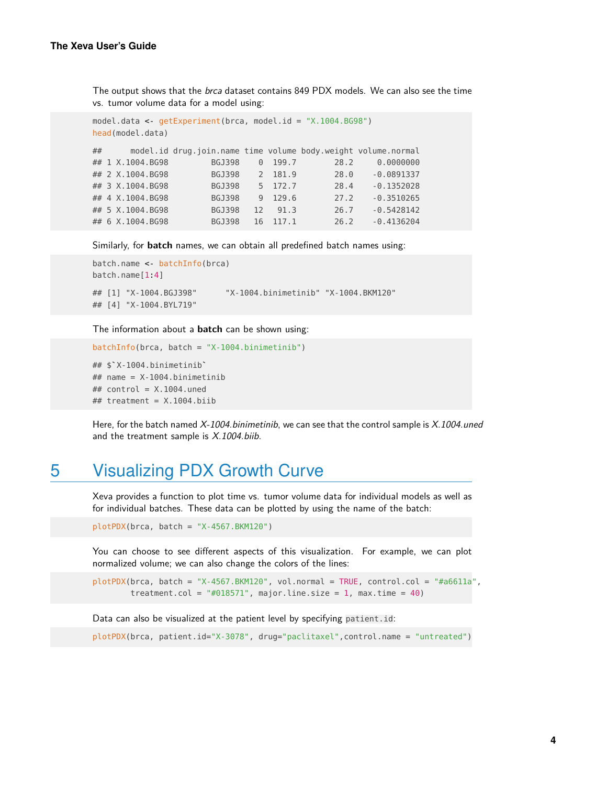The output shows that the *brca* dataset contains 849 PDX models. We can also see the time vs. tumor volume data for a model using:

```
model.data <- getExperiment(brca, model.id = "X.1004.BG98")
head(model.data)
## model.id drug.join.name time volume body.weight volume.normal
## 1 X.1004.BG98 BGJ398 0 199.7 28.2 0.0000000
## 2 X.1004.BG98 BGJ398 2 181.9 28.0 -0.0891337
## 3 X.1004.BG98 BGJ398 5 172.7 28.4 -0.1352028
## 4 X.1004.BG98 BGJ398 9 129.6 27.2 -0.3510265
## 5 X.1004.BG98 BGJ398 12 91.3 26.7 -0.5428142
## 6 X.1004.BG98 BGJ398 16 117.1 26.2 -0.4136204
```
Similarly, for **batch** names, we can obtain all predefined batch names using:

```
batch.name <- batchInfo(brca)
batch.name[1:4]
## [1] "X-1004.BGJ398" "X-1004.binimetinib" "X-1004.BKM120"
## [4] "X-1004.BYL719"
```
The information about a **batch** can be shown using:

```
batchInfo(brca, batch = "X-1004.binimetinib")
The information about a ba<br>batchInfo(brca, batch =<br>## $`X-1004.binimetinib`
```

```
## name = X-1004.binimetinib
\# control = X.1004.uned
\# treatment = X.1004.biib
```
<span id="page-3-0"></span>Here, for the batch named X-1004.binimetinib, we can see that the control sample is X.1004.uned and the treatment sample is  $X.1004.$ biib.

# 5 Visualizing PDX Growth Curve

Xeva provides a function to plot time vs. tumor volume data for individual models as well as for individual batches. These data can be plotted by using the name of the batch:

 $plotPDX(brca, batch = "X-4567.BKM120")$ 

You can choose to see different aspects of this visualization. For example, we can plot normalized volume; we can also change the colors of the lines:

 $plotPDX(brca, batch = "X-4567.BKM120", vol.normal = TRUE, control.col = "#a6611a",$ treatment.col = "#018571", major.line.size = 1, max.time =  $40$ )

Data can also be visualized at the patient level by specifying patient.id:

plotPDX(brca, patient.id="X-3078", drug="paclitaxel",control.name = "untreated")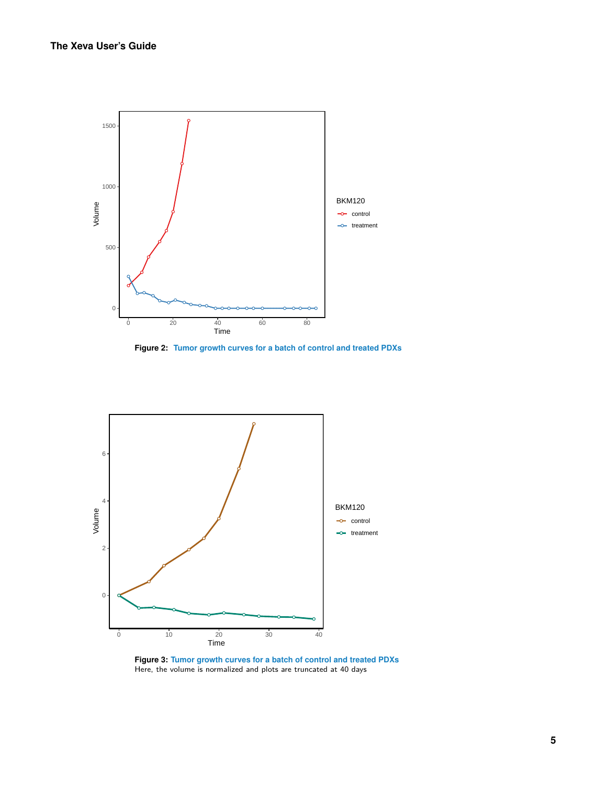

**Figure 2: Tumor growth curves for a batch of control and treated PDXs**



**Figure 3: Tumor growth curves for a batch of control and treated PDXs** Here, the volume is normalized and plots are truncated at 40 days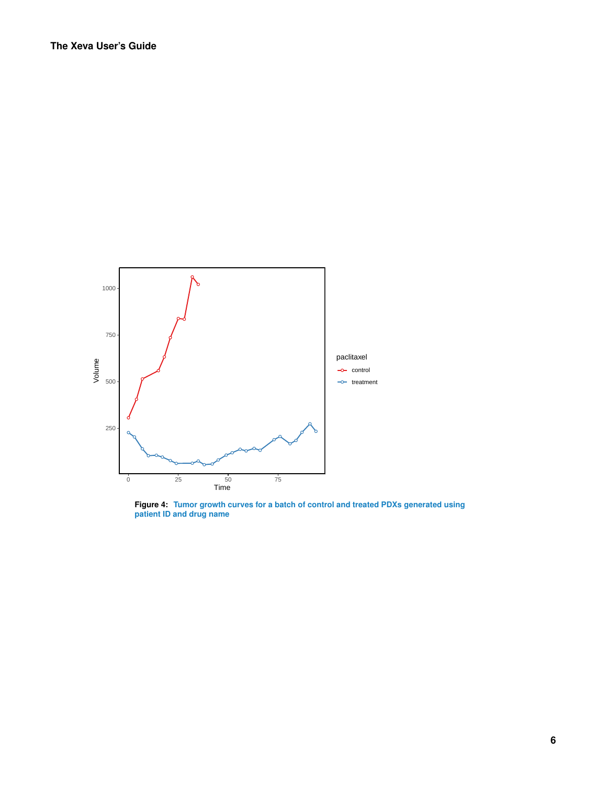

**Figure 4: Tumor growth curves for a batch of control and treated PDXs generated using patient ID and drug name**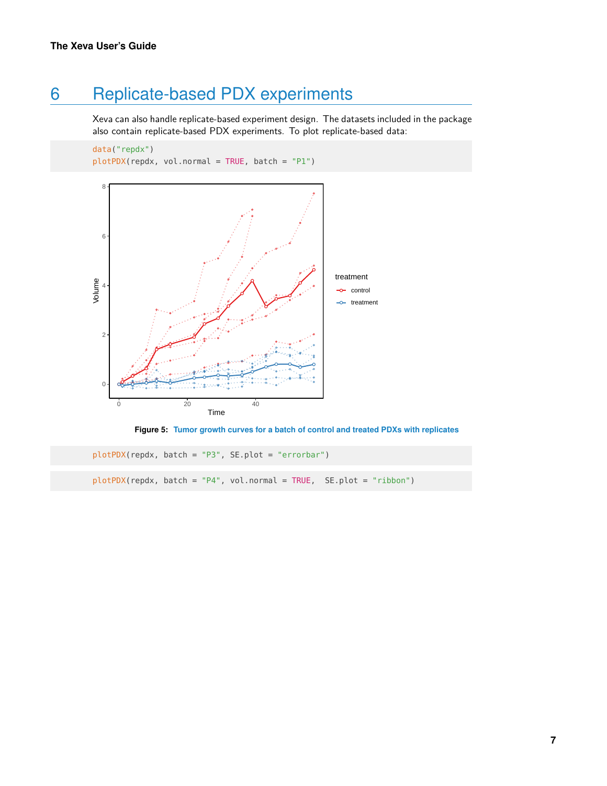# 6 Replicate-based PDX experiments

<span id="page-6-0"></span>Xeva can also handle replicate-based experiment design. The datasets included in the package also contain replicate-based PDX experiments. To plot replicate-based data:

```
data("repdx")
plotPDX(repdx, vol.normal = TRUE, batch = "P1")
```


**Figure 5: Tumor growth curves for a batch of control and treated PDXs with replicates**

plotPDX(repdx, batch = "P3", SE.plot = "errorbar")

plotPDX(repdx, batch = "P4", vol.normal = TRUE, SE.plot = "ribbon")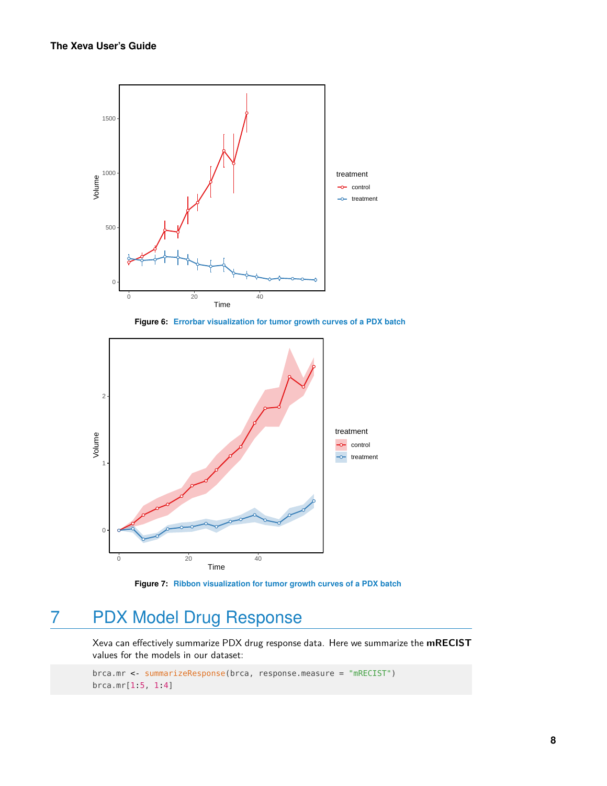







# 7 PDX Model Drug Response

<span id="page-7-0"></span>Xeva can effectively summarize PDX drug response data. Here we summarize the **mRECIST** values for the models in our dataset:

brca.mr <- summarizeResponse(brca, response.measure = "mRECIST") brca.mr[1:5, 1:4]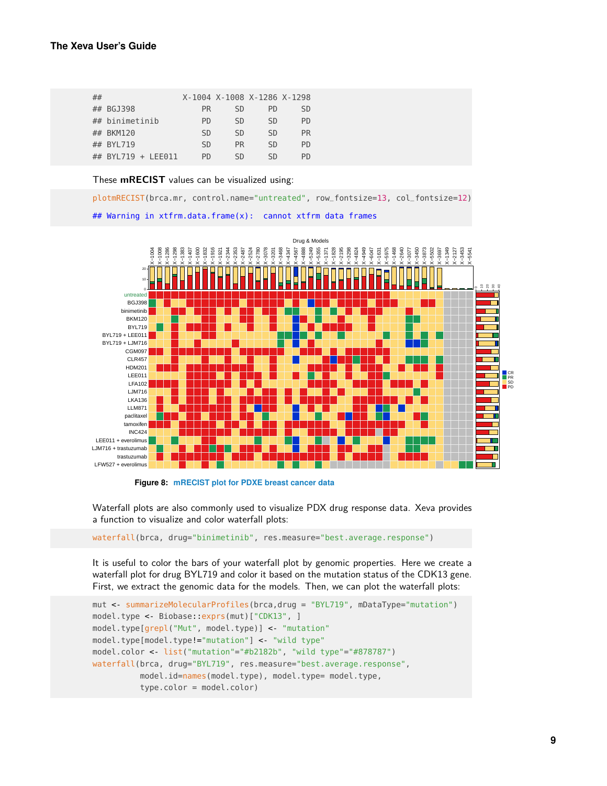| ## |                 |           |           | X-1004 X-1008 X-1286 X-1298 |           |
|----|-----------------|-----------|-----------|-----------------------------|-----------|
| ## | BGJ398          | <b>PR</b> | SD.       | PD.                         | SD        |
| ## | binimetinib     | <b>PD</b> | SD.       | SD.                         | <b>PD</b> |
| ## | BKM120          | SD        | SD        | SD.                         | <b>PR</b> |
| ## | <b>BYI 719</b>  | SD        | <b>PR</b> | SD.                         | PD.       |
|    | BYL719 + LEE011 | <b>PD</b> | .SD       | SD.                         | PD        |

These **mRECIST** values can be visualized using:

plotmRECIST(brca.mr, control.name="untreated", row\_fontsize=13, col\_fontsize=12)

```
## Warning in xtfrm.data.frame(x): cannot xtfrm data frames
```


**Figure 8: mRECIST plot for PDXE breast cancer data**

Waterfall plots are also commonly used to visualize PDX drug response data. Xeva provides a function to visualize and color waterfall plots:

```
waterfall(brca, drug="binimetinib", res.measure="best.average.response")
```
It is useful to color the bars of your waterfall plot by genomic properties. Here we create a waterfall plot for drug BYL719 and color it based on the mutation status of the CDK13 gene. First, we extract the genomic data for the models. Then, we can plot the waterfall plots:

```
mut <- summarizeMolecularProfiles(brca,drug = "BYL719", mDataType="mutation")
model.type <- Biobase::exprs(mut)["CDK13", ]
model.type[grepl("Mut", model.type)] <- "mutation"
model.type[model.type!="mutation"] <- "wild type"
model.color <- list("mutation"="#b2182b", "wild type"="#878787")
waterfall(brca, drug="BYL719", res.measure="best.average.response",
          model.id=names(model.type), model.type= model.type,
          type.color = model.color)
```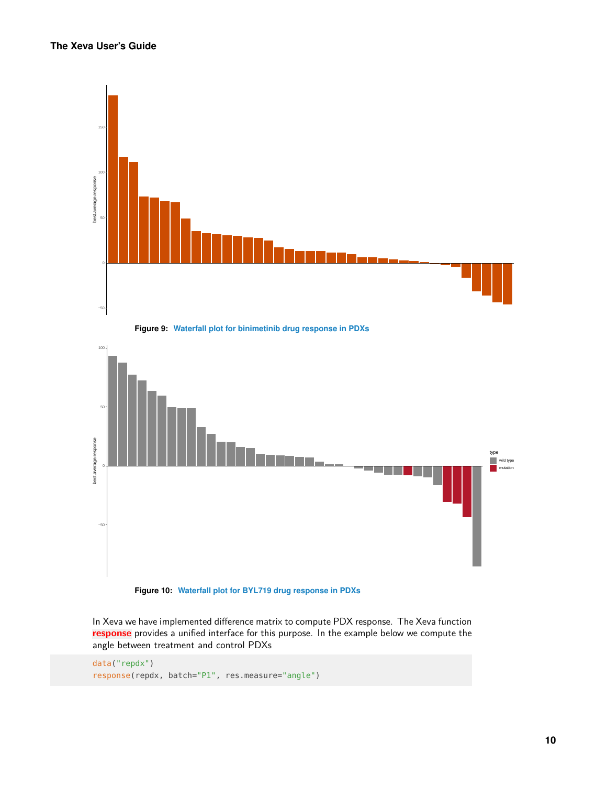#### **The Xeva User's Guide**



#### **Figure 10: Waterfall plot for BYL719 drug response in PDXs**

In Xeva we have implemented difference matrix to compute PDX response. The Xeva function **response** provides a unified interface for this purpose. In the example below we compute the angle between treatment and control PDXs

```
data("repdx")
response(repdx, batch="P1", res.measure="angle")
```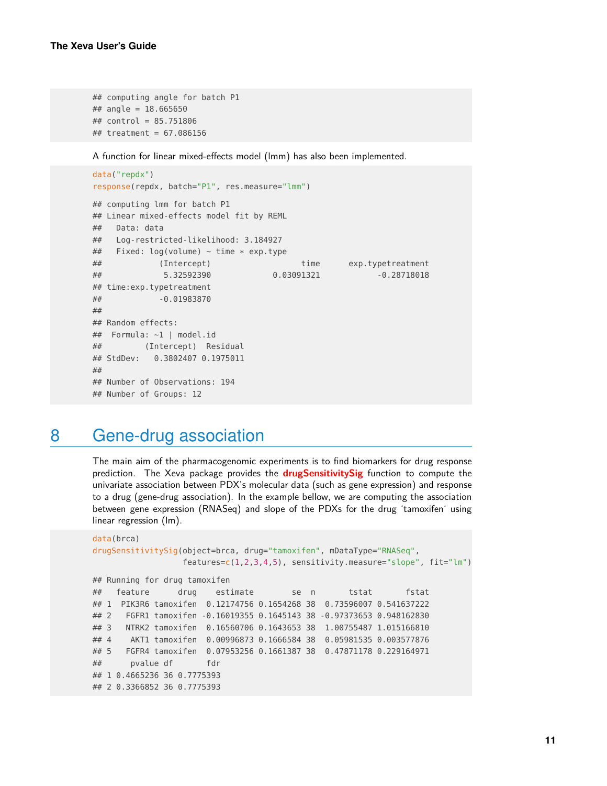```
## computing angle for batch P1
## angle = 18.665650
## control = 85.751806
## treatment = 67.086156
```
A function for linear mixed-effects model (lmm) has also been implemented.

```
data("repdx")
response(repdx, batch="P1", res.measure="lmm")
## computing lmm for batch P1
## Linear mixed-effects model fit by REML
## Data: data
## Log-restricted-likelihood: 3.184927
## Fixed: log(volume) ~ time * exp.type
## (Intercept) time exp.typetreatment
## 5.32592390 0.03091321 -0.28718018
## time:exp.typetreatment
## -0.01983870
##
## Random effects:
## Formula: ~1 | model.id
## (Intercept) Residual
## StdDev: 0.3802407 0.1975011
##
## Number of Observations: 194
## Number of Groups: 12
```
## <span id="page-10-0"></span>8 Gene-drug association

The main aim of the pharmacogenomic experiments is to find biomarkers for drug response prediction. The Xeva package provides the **drugSensitivitySig** function to compute the univariate association between PDX's molecular data (such as gene expression) and response to a drug (gene-drug association). In the example bellow, we are computing the association between gene expression (RNASeq) and slope of the PDXs for the drug 'tamoxifen' using linear regression (lm).

```
data(brca)
drugSensitivitySig(object=brca, drug="tamoxifen", mDataType="RNASeq",
                 features=c(1,2,3,4,5), sensitivity.measure="slope", fit="lm")
## Running for drug tamoxifen
## feature drug estimate se n tstat fstat
## 1 PIK3R6 tamoxifen 0.12174756 0.1654268 38 0.73596007 0.541637222
## 2 FGFR1 tamoxifen -0.16019355 0.1645143 38 -0.97373653 0.948162830
## 3 NTRK2 tamoxifen 0.16560706 0.1643653 38 1.00755487 1.015166810
## 4 AKT1 tamoxifen 0.00996873 0.1666584 38 0.05981535 0.003577876
## 5 FGFR4 tamoxifen 0.07953256 0.1661387 38 0.47871178 0.229164971
## pvalue df fdr
## 1 0.4665236 36 0.7775393
## 2 0.3366852 36 0.7775393
```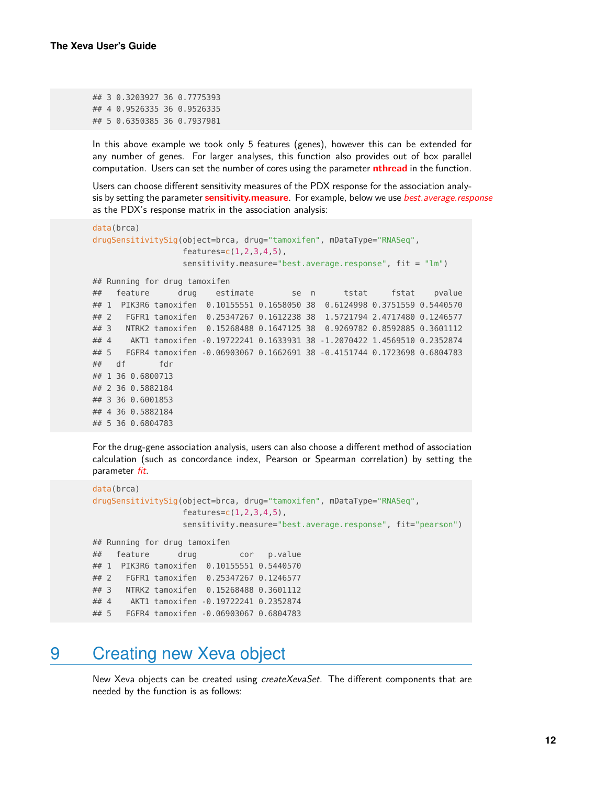## 3 0.3203927 36 0.7775393 ## 4 0.9526335 36 0.9526335 ## 5 0.6350385 36 0.7937981

In this above example we took only 5 features (genes), however this can be extended for any number of genes. For larger analyses, this function also provides out of box parallel computation. Users can set the number of cores using the parameter **nthread** in the function.

Users can choose different sensitivity measures of the PDX response for the association analysis by setting the parameter **sensitivity.measure**. For example, below we use best.average.response as the PDX's response matrix in the association analysis:

```
data(brca)
drugSensitivitySig(object=brca, drug="tamoxifen", mDataType="RNASeq",
                  features = c(1, 2, 3, 4, 5),
                  sensitivity.measure="best.average.response", fit = "lm")
## Running for drug tamoxifen
## feature drug estimate se n tstat fstat pvalue
## 1 PIK3R6 tamoxifen 0.10155551 0.1658050 38 0.6124998 0.3751559 0.5440570
## 2 FGFR1 tamoxifen 0.25347267 0.1612238 38 1.5721794 2.4717480 0.1246577
## 3 NTRK2 tamoxifen 0.15268488 0.1647125 38 0.9269782 0.8592885 0.3601112
## 4 AKT1 tamoxifen -0.19722241 0.1633931 38 -1.2070422 1.4569510 0.2352874
## 5 FGFR4 tamoxifen -0.06903067 0.1662691 38 -0.4151744 0.1723698 0.6804783
## df fdr
## 1 36 0.6800713
## 2 36 0.5882184
## 3 36 0.6001853
## 4 36 0.5882184
## 5 36 0.6804783
```
For the drug-gene association analysis, users can also choose a different method of association calculation (such as concordance index, Pearson or Spearman correlation) by setting the parameter fit.

```
data(brca)
drugSensitivitySig(object=brca, drug="tamoxifen", mDataType="RNASeq",
                  features=c(1,2,3,4,5),
                  sensitivity.measure="best.average.response", fit="pearson")
## Running for drug tamoxifen
## feature drug cor p.value
## 1 PIK3R6 tamoxifen 0.10155551 0.5440570
## 2 FGFR1 tamoxifen 0.25347267 0.1246577
## 3 NTRK2 tamoxifen 0.15268488 0.3601112
## 4 AKT1 tamoxifen -0.19722241 0.2352874
## 5 FGFR4 tamoxifen -0.06903067 0.6804783
```
### <span id="page-11-0"></span>9 Creating new Xeva object

New Xeva objects can be created using *createXevaSet*. The different components that are needed by the function is as follows: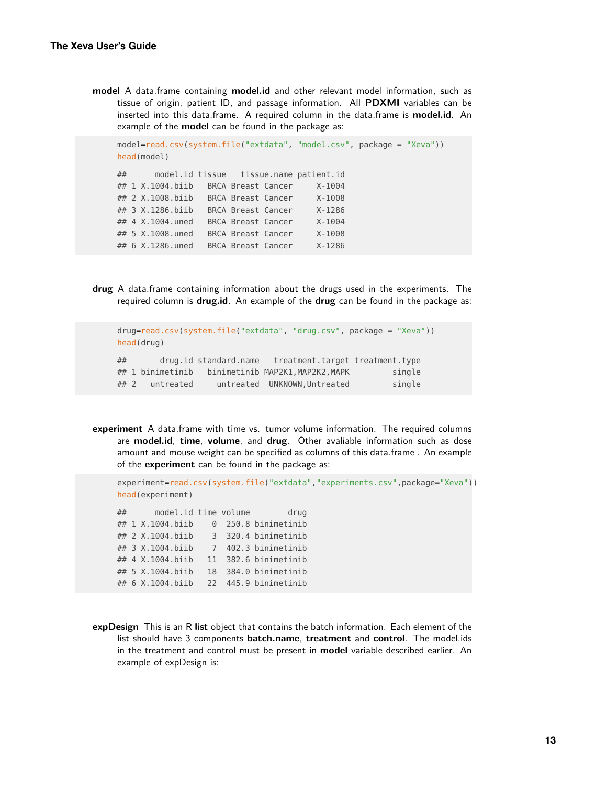**model** A data.frame containing **model.id** and other relevant model information, such as tissue of origin, patient ID, and passage information. All **PDXMI** variables can be inserted into this data.frame. A required column in the data.frame is **model.id**. An example of the **model** can be found in the package as:

```
model=read.csv(system.file("extdata", "model.csv", package = "Xeva"))
head(model)
## model.id tissue tissue.name patient.id
## 1 X.1004.biib BRCA Breast Cancer X-1004
## 2 X.1008.biib BRCA Breast Cancer X-1008
## 3 X.1286.biib BRCA Breast Cancer X-1286
## 4 X.1004.uned BRCA Breast Cancer X-1004
## 5 X.1008.uned BRCA Breast Cancer X-1008
## 6 X.1286.uned BRCA Breast Cancer X-1286
```
**drug** A data.frame containing information about the drugs used in the experiments. The required column is **drug.id**. An example of the **drug** can be found in the package as:

```
drug=read.csv(system.file("extdata", "drug.csv", package = "Xeva"))
head(drug)
## drug.id standard.name treatment.target treatment.type
## 1 binimetinib binimetinib MAP2K1, MAP2K2, MAPK single
## 2 untreated untreated UNKNOWN,Untreated single
```
**experiment** A data.frame with time vs. tumor volume information. The required columns are **model.id**, **time**, **volume**, and **drug**. Other avaliable information such as dose amount and mouse weight can be specified as columns of this data.frame . An example of the **experiment** can be found in the package as:

```
experiment=read.csv(system.file("extdata","experiments.csv",package="Xeva"))
head(experiment)
## model.id time volume drug
## 1 X.1004.biib 0 250.8 binimetinib
## 2 X.1004.biib 3 320.4 binimetinib
## 3 X.1004.biib 7 402.3 binimetinib
## 4 X.1004.biib 11 382.6 binimetinib
## 5 X.1004.biib 18 384.0 binimetinib
## 6 X.1004.biib 22 445.9 binimetinib
```
**expDesign** This is an R **list** object that contains the batch information. Each element of the list should have 3 components **batch.name**, **treatment** and **control**. The model.ids in the treatment and control must be present in **model** variable described earlier. An example of expDesign is: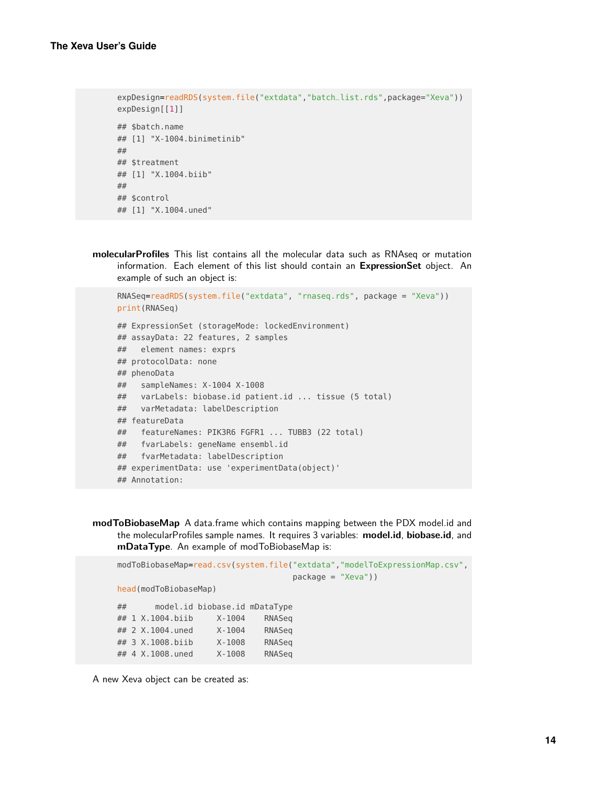```
expDesign=readRDS(system.file("extdata","batch_list.rds",package="Xeva"))
expDesign[[1]]
## $batch.name
## [1] "X-1004.binimetinib"
##
## $treatment
## [1] "X.1004.biib"
##
## $control
## [1] "X.1004.uned"
```
**molecularProfiles** This list contains all the molecular data such as RNAseq or mutation information. Each element of this list should contain an **ExpressionSet** object. An example of such an object is:

```
RNASeq=readRDS(system.file("extdata", "rnaseq.rds", package = "Xeva"))
print(RNASeq)
## ExpressionSet (storageMode: lockedEnvironment)
## assayData: 22 features, 2 samples
## element names: exprs
## protocolData: none
## phenoData
## sampleNames: X-1004 X-1008
## varLabels: biobase.id patient.id ... tissue (5 total)
## varMetadata: labelDescription
## featureData
## featureNames: PIK3R6 FGFR1 ... TUBB3 (22 total)
## fvarLabels: geneName ensembl.id
## fvarMetadata: labelDescription
## experimentData: use 'experimentData(object)'
## Annotation:
```
**modToBiobaseMap** A data.frame which contains mapping between the PDX model.id and the molecularProfiles sample names. It requires 3 variables: **model.id**, **biobase.id**, and **mDataType**. An example of modToBiobaseMap is:

```
modToBiobaseMap=read.csv(system.file("extdata","modelToExpressionMap.csv",
                                 package = "Xeva"))
head(modToBiobaseMap)
## model.id biobase.id mDataType
## 1 X.1004.biib X-1004 RNASeq
## 2 X.1004.uned X-1004 RNASeq
## 3 X.1008.biib X-1008 RNASeq
## 4 X.1008.uned X-1008 RNASeq
```
A new Xeva object can be created as: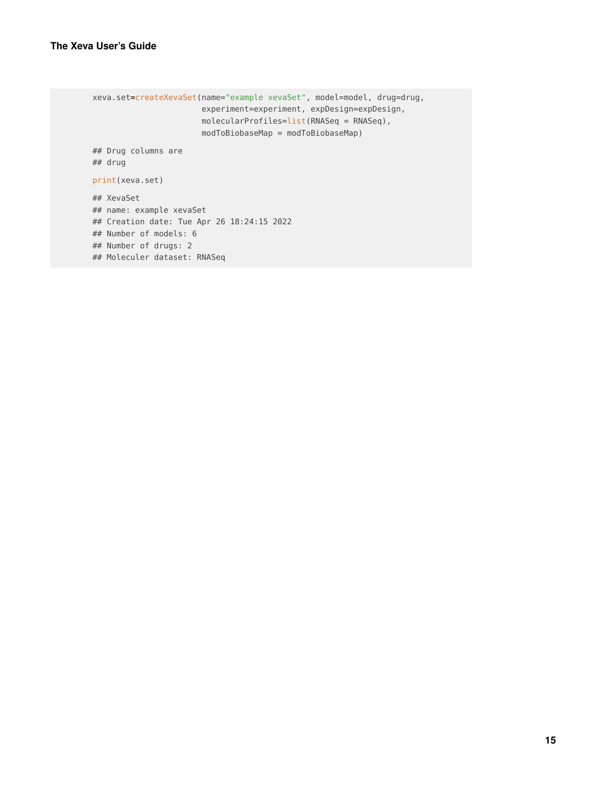```
xeva.set=createXevaSet(name="example xevaSet", model=model, drug=drug,
                       experiment=experiment, expDesign=expDesign,
                       molecularProfiles=list(RNASeq = RNASeq),
                       modToBiobaseMap = modToBiobaseMap)
## Drug columns are
## drug
print(xeva.set)
## XevaSet
## name: example xevaSet
## Creation date: Tue Apr 26 18:24:15 2022
## Number of models: 6
## Number of drugs: 2
## Moleculer dataset: RNASeq
```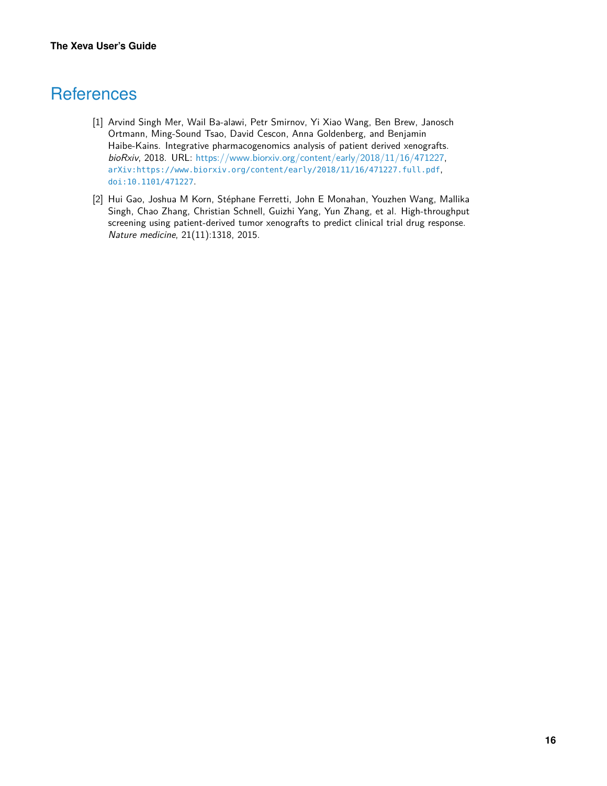# **References**

- <span id="page-15-0"></span>[1] Arvind Singh Mer, Wail Ba-alawi, Petr Smirnov, Yi Xiao Wang, Ben Brew, Janosch Ortmann, Ming-Sound Tsao, David Cescon, Anna Goldenberg, and Benjamin Haibe-Kains. Integrative pharmacogenomics analysis of patient derived xenografts. bioRxiv, 2018. URL: [https://www.biorxiv.org/content/early/2018/11/16/471227,](https://www.biorxiv.org/content/early/2018/11/16/471227) [arXiv:https://www.biorxiv.org/content/early/2018/11/16/471227.full.pdf](http://arxiv.org/abs/https://www.biorxiv.org/content/early/2018/11/16/471227.full.pdf), [doi:10.1101/471227](http://dx.doi.org/10.1101/471227).
- <span id="page-15-1"></span>[2] Hui Gao, Joshua M Korn, Stéphane Ferretti, John E Monahan, Youzhen Wang, Mallika Singh, Chao Zhang, Christian Schnell, Guizhi Yang, Yun Zhang, et al. High-throughput screening using patient-derived tumor xenografts to predict clinical trial drug response. Nature medicine, 21(11):1318, 2015.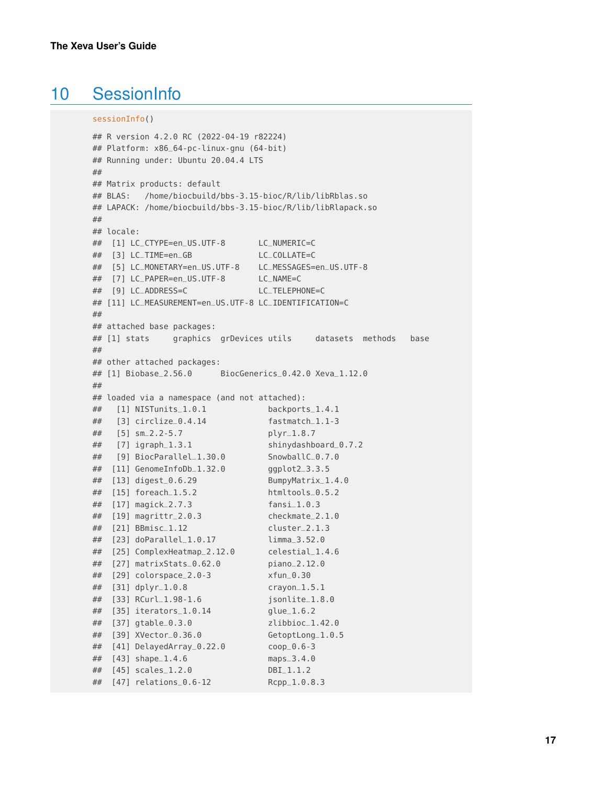# 10 SessionInfo

```
sessionInfo()
```

```
## R version 4.2.0 RC (2022-04-19 r82224)
## Platform: x86_64-pc-linux-gnu (64-bit)
## Running under: Ubuntu 20.04.4 LTS
##
## Matrix products: default
## BLAS: /home/biocbuild/bbs-3.15-bioc/R/lib/libRblas.so
## LAPACK: /home/biocbuild/bbs-3.15-bioc/R/lib/libRlapack.so
##
## locale:
## [1] LC_CTYPE=en_US.UTF-8 LC_NUMERIC=C
## [3] LC_TIME=en_GB LC_COLLATE=C
## [5] LC_MONETARY=en_US.UTF-8 LC_MESSAGES=en_US.UTF-8
## [7] LC_PAPER=en_US.UTF-8 LC_NAME=C
## [9] LC_ADDRESS=C LC_TELEPHONE=C
## [11] LC_MEASUREMENT=en_US.UTF-8 LC_IDENTIFICATION=C
##
## attached base packages:
## [1] stats graphics grDevices utils datasets methods base
### other attached packages:
## [1] Biobase_2.56.0 BiocGenerics_0.42.0 Xeva_1.12.0
##
## loaded via a namespace (and not attached):
## [1] NISTunits_1.0.1 backports_1.4.1
## [3] circlize_0.4.14 fastmatch_1.1-3
## [5] sm_2.2-5.7 plyr_1.8.7
## [7] igraph_1.3.1 shinydashboard_0.7.2
## [9] BiocParallel_1.30.0 SnowballC_0.7.0
## [11] GenomeInfoDb_1.32.0 ggplot2_3.3.5
## [13] digest_0.6.29 BumpyMatrix_1.4.0
## [15] foreach_1.5.2 htmltools_0.5.2
## [17] magick_2.7.3 fansi_1.0.3
## [19] magrittr_2.0.3 checkmate_2.1.0
## [21] BBmisc_1.12 cluster_2.1.3
## [23] doParallel_1.0.17 limma_3.52.0
## [25] ComplexHeatmap_2.12.0 celestial_1.4.6
## [27] matrixStats_0.62.0 piano_2.12.0
## [29] colorspace_2.0-3 xfun_0.30
## [31] dplyr_1.0.8 crayon_1.5.1
## [33] RCurl_1.98-1.6 jsonlite_1.8.0
## [35] iterators_1.0.14 glue_1.6.2
## [37] gtable_0.3.0 zlibbioc_1.42.0
## [39] XVector_0.36.0 GetoptLong_1.0.5
## [41] DelayedArray_0.22.0 coop_0.6-3
## [43] shape_1.4.6 maps_3.4.0
## [45] scales_1.2.0 DBI_1.1.2
## [47] relations_0.6-12 Rcpp_1.0.8.3
```